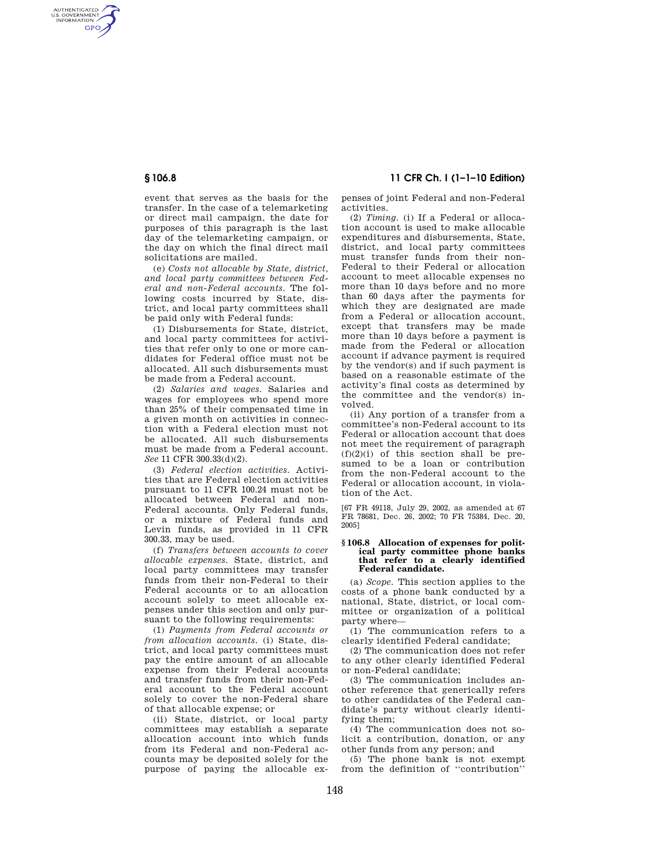AUTHENTICATED<br>U.S. GOVERNMENT<br>INFORMATION **GPO** 

> event that serves as the basis for the transfer. In the case of a telemarketing or direct mail campaign, the date for purposes of this paragraph is the last day of the telemarketing campaign, or the day on which the final direct mail solicitations are mailed.

> (e) *Costs not allocable by State, district, and local party committees between Federal and non-Federal accounts.* The following costs incurred by State, district, and local party committees shall be paid only with Federal funds:

> (1) Disbursements for State, district, and local party committees for activities that refer only to one or more candidates for Federal office must not be allocated. All such disbursements must be made from a Federal account.

> (2) *Salaries and wages.* Salaries and wages for employees who spend more than 25% of their compensated time in a given month on activities in connection with a Federal election must not be allocated. All such disbursements must be made from a Federal account. *See* 11 CFR 300.33(d)(2).

> (3) *Federal election activities.* Activities that are Federal election activities pursuant to 11 CFR 100.24 must not be allocated between Federal and non-Federal accounts. Only Federal funds, or a mixture of Federal funds and Levin funds, as provided in 11 CFR 300.33, may be used.

> (f) *Transfers between accounts to cover allocable expenses.* State, district, and local party committees may transfer funds from their non-Federal to their Federal accounts or to an allocation account solely to meet allocable expenses under this section and only pursuant to the following requirements:

> (1) *Payments from Federal accounts or from allocation accounts.* (i) State, district, and local party committees must pay the entire amount of an allocable expense from their Federal accounts and transfer funds from their non-Federal account to the Federal account solely to cover the non-Federal share of that allocable expense; or

> (ii) State, district, or local party committees may establish a separate allocation account into which funds from its Federal and non-Federal accounts may be deposited solely for the purpose of paying the allocable ex-

**§ 106.8 11 CFR Ch. I (1–1–10 Edition)** 

penses of joint Federal and non-Federal activities.

(2) *Timing.* (i) If a Federal or allocation account is used to make allocable expenditures and disbursements, State, district, and local party committees must transfer funds from their non-Federal to their Federal or allocation account to meet allocable expenses no more than 10 days before and no more than 60 days after the payments for which they are designated are made from a Federal or allocation account, except that transfers may be made more than 10 days before a payment is made from the Federal or allocation account if advance payment is required by the vendor(s) and if such payment is based on a reasonable estimate of the activity's final costs as determined by the committee and the vendor(s) involved.

(ii) Any portion of a transfer from a committee's non-Federal account to its Federal or allocation account that does not meet the requirement of paragraph  $(f)(2)(i)$  of this section shall be presumed to be a loan or contribution from the non-Federal account to the Federal or allocation account, in violation of the Act.

[67 FR 49118, July 29, 2002, as amended at 67 FR 78681, Dec. 26, 2002; 70 FR 75384, Dec. 20, 2005]

#### **§ 106.8 Allocation of expenses for political party committee phone banks that refer to a clearly identified Federal candidate.**

(a) *Scope.* This section applies to the costs of a phone bank conducted by a national, State, district, or local committee or organization of a political party where—

(1) The communication refers to a clearly identified Federal candidate;

(2) The communication does not refer to any other clearly identified Federal or non-Federal candidate;

(3) The communication includes another reference that generically refers to other candidates of the Federal candidate's party without clearly identifying them;

(4) The communication does not solicit a contribution, donation, or any other funds from any person; and

(5) The phone bank is not exempt from the definition of ''contribution''